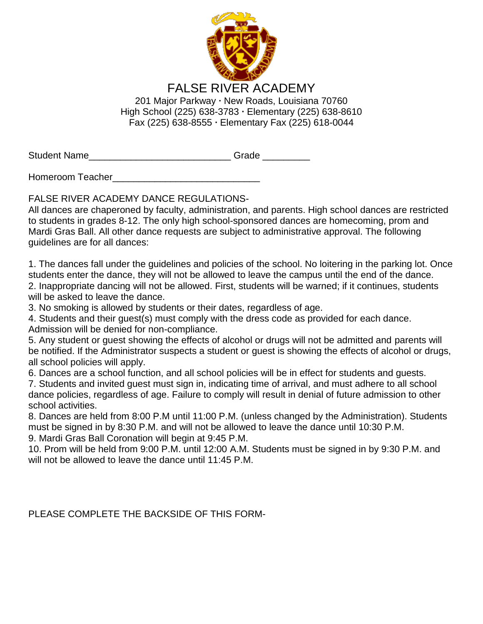

Student Name \_\_\_\_\_\_\_\_\_\_\_\_\_\_\_\_\_\_\_\_\_\_\_\_\_\_\_\_\_\_\_\_Grade \_\_\_\_\_\_\_\_\_\_

Homeroom Teacher\_\_\_\_\_\_\_\_\_\_\_\_\_\_\_\_\_\_\_\_\_\_\_\_\_\_\_\_

FALSE RIVER ACADEMY DANCE REGULATIONS-

All dances are chaperoned by faculty, administration, and parents. High school dances are restricted to students in grades 8-12. The only high school-sponsored dances are homecoming, prom and Mardi Gras Ball. All other dance requests are subject to administrative approval. The following guidelines are for all dances:

1. The dances fall under the guidelines and policies of the school. No loitering in the parking lot. Once students enter the dance, they will not be allowed to leave the campus until the end of the dance. 2. Inappropriate dancing will not be allowed. First, students will be warned; if it continues, students will be asked to leave the dance.

3. No smoking is allowed by students or their dates, regardless of age.

4. Students and their guest(s) must comply with the dress code as provided for each dance. Admission will be denied for non-compliance.

5. Any student or guest showing the effects of alcohol or drugs will not be admitted and parents will be notified. If the Administrator suspects a student or guest is showing the effects of alcohol or drugs, all school policies will apply.

6. Dances are a school function, and all school policies will be in effect for students and guests.

7. Students and invited guest must sign in, indicating time of arrival, and must adhere to all school dance policies, regardless of age. Failure to comply will result in denial of future admission to other school activities.

8. Dances are held from 8:00 P.M until 11:00 P.M. (unless changed by the Administration). Students must be signed in by 8:30 P.M. and will not be allowed to leave the dance until 10:30 P.M. 9. Mardi Gras Ball Coronation will begin at 9:45 P.M.

10. Prom will be held from 9:00 P.M. until 12:00 A.M. Students must be signed in by 9:30 P.M. and will not be allowed to leave the dance until 11:45 P.M.

PLEASE COMPLETE THE BACKSIDE OF THIS FORM-